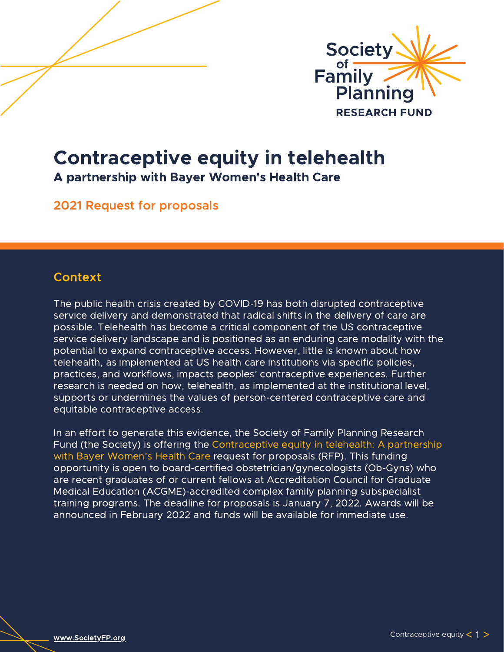

# Contraceptive equity in telehealth

A partnership with Bayer Women's Health Care

2021 Request for proposals

# **Context**

The public health crisis created by COVID-19 has both disrupted contraceptive service delivery and demonstrated that radical shifts in the delivery of care are possible. Telehealth has become a critical component of the US contraceptive service delivery landscape and is positioned as an enduring care modality with the potential to expand contraceptive access. However, little is known about how telehealth, as implemented at US health care institutions via specific policies, practices, and workflows, impacts peoples' contraceptive experiences. Further research is needed on how, telehealth, as implemented at the institutional level, supports or undermines the values of person-centered contraceptive care and equitable contraceptive access.

In an effort to generate this evidence, the Society of Family Planning Research Fund (the Society) is offering the Contraceptive equity in telehealth: A partnership with Bayer Women's Health Care request for proposals (RFP). This funding opportunity is open to board-certified obstetrician/gynecologists (Ob-Gyns) who are recent graduates of or current fellows at Accreditation Council for Graduate Medical Education (ACGME)-accredited complex family planning subspecialist training programs. The deadline for proposals is January 7, 2022. Awards will be announced in February 2022 and funds will be available for immediate use.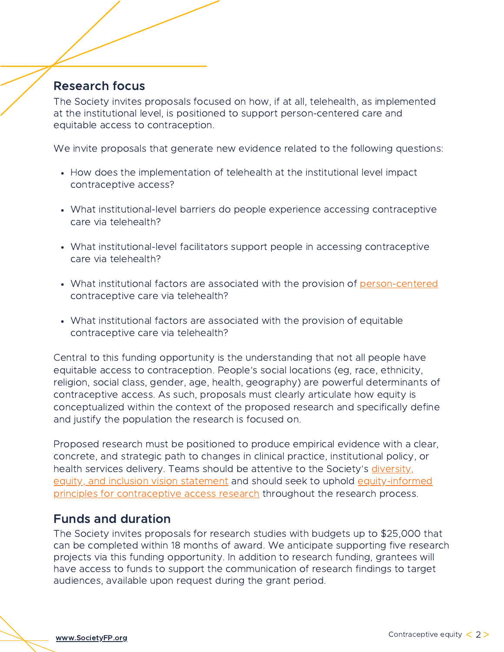# Research focus

The Society invites proposals focused on how, if at all, telehealth, as implemented at the institutional level, is positioned to support person-centered care and equitable access to contraception.

We invite proposals that generate new evidence related to the following questions:

- How does the implementation of telehealth at the institutional level impact contraceptive access?
- What institutional-level barriers do people experience accessing contraceptive care via telehealth?
- What institutional-level facilitators support people in accessing contraceptive care via telehealth?
- What institutional factors are associated with the provision of [person-centered](https://pcccmeasure.ucsf.edu/) contraceptive care via telehealth?
- What institutional factors are associated with the provision of equitable contraceptive care via telehealth?

Central to this funding opportunity is the understanding that not all people have equitable access to contraception. People's social locations (eg, race, ethnicity, religion, social class, gender, age, health, geography) are powerful determinants of contraceptive access. As such, proposals must clearly articulate how equity is conceptualized within the context of the proposed research and specifically define and justify the population the research is focused on.

Proposed research must be positioned to produce empirical evidence with a clear, concrete, and strategic path to changes in clinical practice, institutional policy, or health services delivery. Teams should be attentive to the Society's diversity, equity, and inclusion vision statement and should seek to uphold [equity-informed](https://static1.squarespace.com/static/5d35f1b39760f8000111473a/t/611a9e1af40d6a4b1d9ed254/1629134362789/Equity-Informed+Principles+for+Contraceptive+Access+Research.pdf) principles for contraceptive access research throughout the research process.

# Funds and duration

The Society invites proposals for research studies with budgets up to \$25,000 that can be completed within 18 months of award. We anticipate supporting five research projects via this funding opportunity. In addition to research funding, grantees will have access to funds to support the communication of research findings to target audiences, available upon request during the grant period.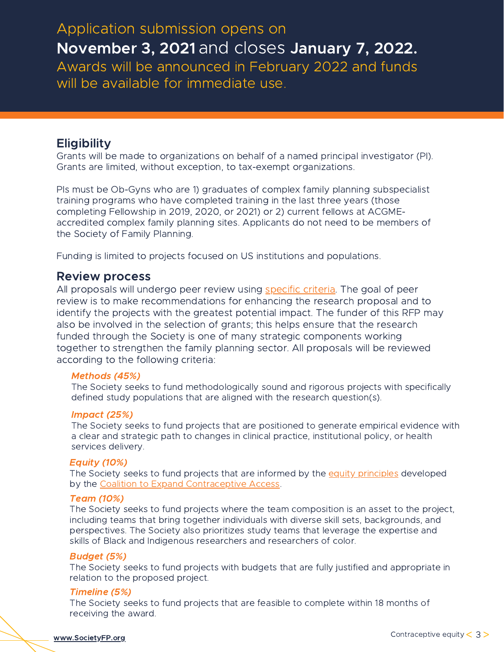# Awards will be announced in February 2022 and funds will be available for immediate use. Application submission opens on November 3, 2021 and closes January 7, 2022.

# **Eligibility**

Grants will be made to organizations on behalf of a named principal investigator (PI). Grants are limited, without exception, to tax-exempt organizations.

PIs must be Ob-Gyns who are 1) graduates of complex family planning subspecialist training programs who have completed training in the last three years (those completing Fellowship in 2019, 2020, or 2021) or 2) current fellows at ACGMEaccredited complex family planning sites. Applicants do not need to be members of the Society of Family Planning.

Funding is limited to projects focused on US institutions and populations.

### Review process

All proposals will undergo peer review using [specific](https://societyfp.org/wp-content/uploads/2021/10/Bayer-review-guide.pdf) criteria. The goal of peer review is to make recommendations for enhancing the research proposal and to identify the projects with the greatest potential impact. The funder of this RFP may also be involved in the selection of grants; this helps ensure that the research funded through the Society is one of many strategic components working together to strengthen the family planning sector. All proposals will be reviewed according to the following criteria:

#### Methods (45%)

The Society seeks to fund methodologically sound and rigorous projects with specifically defined study populations that are aligned with the research question(s).

#### Impact (25%)

The Society seeks to fund projects that are positioned to generate empirical evidence with a clear and strategic path to changes in clinical practice, institutional policy, or health services delivery.

#### Equity (10%)

The Society seeks to fund projects that are informed by the equity [principles](https://static1.squarespace.com/static/5d35f1b39760f8000111473a/t/611a9e1af40d6a4b1d9ed254/1629134362789/Equity-Informed+Principles+for+Contraceptive+Access+Research.pdf) developed by the Coalition to Expand [Contraceptive](https://www.contraceptionaccess.org/) Access.

#### Team (10%)

The Society seeks to fund projects where the team composition is an asset to the project, including teams that bring together individuals with diverse skill sets, backgrounds, and perspectives. The Society also prioritizes study teams that leverage the expertise and skills of Black and Indigenous researchers and researchers of color.

#### Budget (5%)

The Society seeks to fund projects with budgets that are fully justified and appropriate in relation to the proposed project.

#### Timeline (5%)

The Society seeks to fund projects that are feasible to complete within 18 months of receiving the award.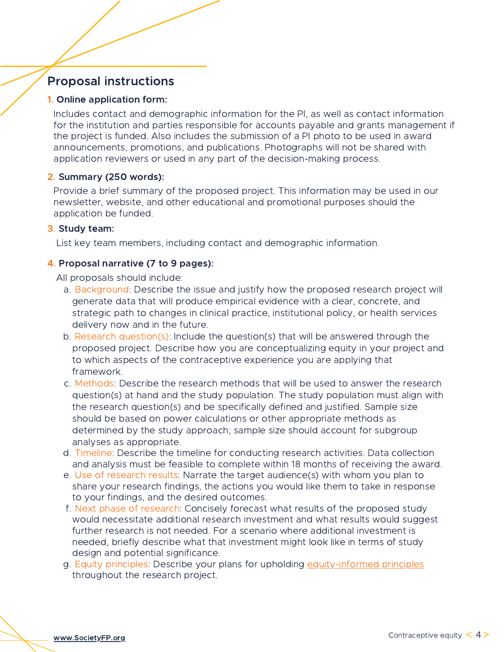# Proposal instructions

#### 1. Online application form:

Includes contact and demographic information for the PI, as well as contact information for the institution and parties responsible for accounts payable and grants management if the project is funded. Also includes the submission of a PI photo to be used in award announcements, promotions, and publications. Photographs will not be shared with application reviewers or used in any part of the decision-making process.

#### 2. Summary (250 words):

Provide a brief summary of the proposed project. This information may be used in our newsletter, website, and other educational and promotional purposes should the application be funded.

#### 3. Study team:

List key team members, including contact and demographic information.

#### 4. Proposal narrative (7 to 9 pages):

All proposals should include:

- a. Background: Describe the issue and justify how the proposed research project will generate data that will produce empirical evidence with a clear, concrete, and strategic path to changes in clinical practice, institutional policy, or health services delivery now and in the future.
- b. Research question(s): Include the question(s) that will be answered through the proposed project. Describe how you are conceptualizing equity in your project and to which aspects of the contraceptive experience you are applying that framework.
- c. Methods: Describe the research methods that will be used to answer the research question(s) at hand and the study population. The study population must align with the research question(s) and be specifically defined and justified. Sample size should be based on power calculations or other appropriate methods as determined by the study approach; sample size should account for subgroup analyses as appropriate.
- d. Timeline: Describe the timeline for conducting research activities. Data collection and analysis must be feasible to complete within 18 months of receiving the award.
- e. Use of research results: Narrate the target audience(s) with whom you plan to share your research findings, the actions you would like them to take in response to your findings, and the desired outcomes.
- f. Next phase of research: Concisely forecast what results of the proposed study would necessitate additional research investment and what results would suggest further research is not needed. For a scenario where additional investment is needed, briefly describe what that investment might look like in terms of study design and potential significance.
- g. Equity principles: Describe your plans for upholding [equity-informed](https://static1.squarespace.com/static/5d35f1b39760f8000111473a/t/611a9e1af40d6a4b1d9ed254/1629134362789/Equity-Informed+Principles+for+Contraceptive+Access+Research.pdf) principles throughout the research project.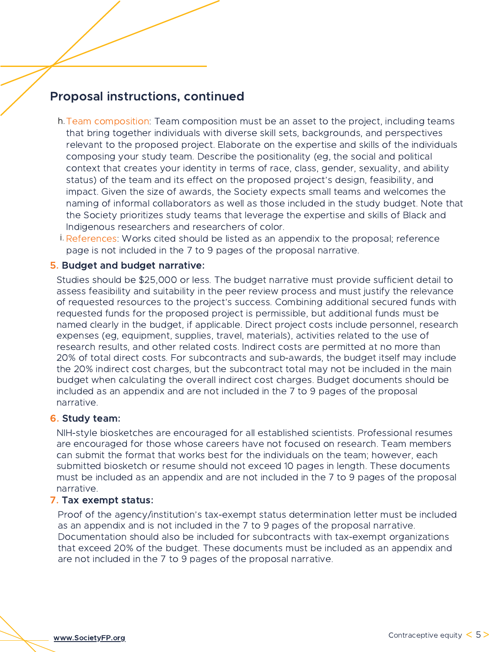# Proposal instructions, continued

- Team composition: Team composition must be an asset to the project, including teams h. that bring together individuals with diverse skill sets, backgrounds, and perspectives relevant to the proposed project. Elaborate on the expertise and skills of the individuals composing your study team. Describe the positionality (eg, the social and political context that creates your identity in terms of race, class, gender, sexuality, and ability status) of the team and its effect on the proposed project's design, feasibility, and impact. Given the size of awards, the Society expects small teams and welcomes the naming of informal collaborators as well as those included in the study budget. Note that the Society prioritizes study teams that leverage the expertise and skills of Black and Indigenous researchers and researchers of color.
- References: Works cited should be listed as an appendix to the proposal; reference i. page is not included in the 7 to 9 pages of the proposal narrative.

#### 5. Budget and budget narrative:

Studies should be \$25,000 or less. The budget narrative must provide sufficient detail to assess feasibility and suitability in the peer review process and must justify the relevance of requested resources to the project's success. Combining additional secured funds with requested funds for the proposed project is permissible, but additional funds must be named clearly in the budget, if applicable. Direct project costs include personnel, research expenses (eg, equipment, supplies, travel, materials), activities related to the use of research results, and other related costs. Indirect costs are permitted at no more than 20% of total direct costs. For subcontracts and sub-awards, the budget itself may include the 20% indirect cost charges, but the subcontract total may not be included in the main budget when calculating the overall indirect cost charges. Budget documents should be included as an appendix and are not included in the 7 to 9 pages of the proposal narrative.

#### 6. Study team:

NIH-style biosketches are encouraged for all established scientists. Professional resumes are encouraged for those whose careers have not focused on research. Team members can submit the format that works best for the individuals on the team; however, each submitted biosketch or resume should not exceed 10 pages in length. These documents must be included as an appendix and are not included in the 7 to 9 pages of the proposal narrative.

#### 7. Tax exempt status:

Proof of the agency/institution's tax-exempt status determination letter must be included as an appendix and is not included in the 7 to 9 pages of the proposal narrative. Documentation should also be included for subcontracts with tax-exempt organizations that exceed 20% of the budget. These documents must be included as an appendix and are not included in the 7 to 9 pages of the proposal narrative.